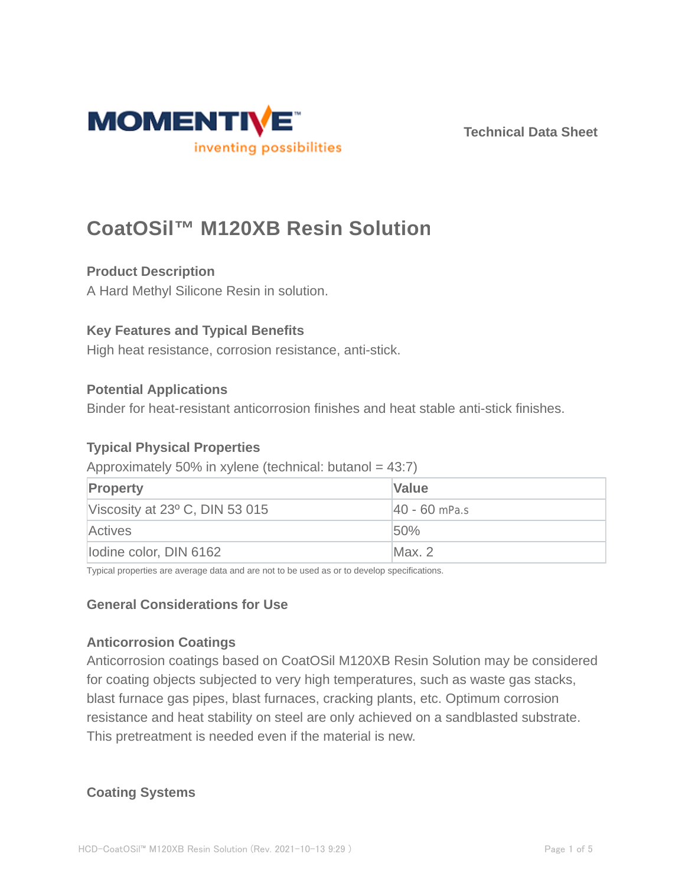

**Technical Data Sheet**

# **CoatOSil™ M120XB Resin Solution**

# **Product Description**

A Hard Methyl Silicone Resin in solution.

# **Key Features and Typical Benefits**

High heat resistance, corrosion resistance, anti-stick.

# **Potential Applications**

Binder for heat-resistant anticorrosion finishes and heat stable anti-stick finishes.

# **Typical Physical Properties**

# Approximately 50% in xylene (technical: butanol =  $43:7$ )

| <b>Property</b>                         | <b>Value</b>     |
|-----------------------------------------|------------------|
| Viscosity at $23^{\circ}$ C, DIN 53 015 | $ 40 - 60$ mPa.s |
| Actives                                 | 50%              |
| lodine color, DIN 6162                  | Max. 2           |

Typical properties are average data and are not to be used as or to develop specifications.

# **General Considerations for Use**

# **Anticorrosion Coatings**

Anticorrosion coatings based on CoatOSil M120XB Resin Solution may be considered for coating objects subjected to very high temperatures, such as waste gas stacks, blast furnace gas pipes, blast furnaces, cracking plants, etc. Optimum corrosion resistance and heat stability on steel are only achieved on a sandblasted substrate. This pretreatment is needed even if the material is new.

# **Coating Systems**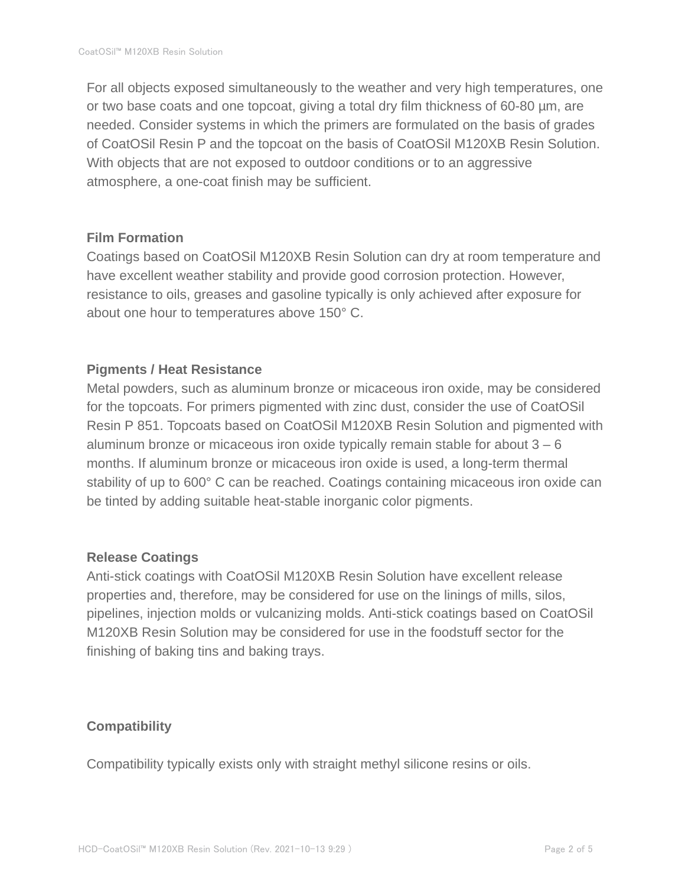For all objects exposed simultaneously to the weather and very high temperatures, one or two base coats and one topcoat, giving a total dry film thickness of 60-80 µm, are needed. Consider systems in which the primers are formulated on the basis of grades of CoatOSil Resin P and the topcoat on the basis of CoatOSil M120XB Resin Solution. With objects that are not exposed to outdoor conditions or to an aggressive atmosphere, a one-coat finish may be sufficient.

#### **Film Formation**

Coatings based on CoatOSil M120XB Resin Solution can dry at room temperature and have excellent weather stability and provide good corrosion protection. However, resistance to oils, greases and gasoline typically is only achieved after exposure for about one hour to temperatures above 150° C.

#### **Pigments / Heat Resistance**

Metal powders, such as aluminum bronze or micaceous iron oxide, may be considered for the topcoats. For primers pigmented with zinc dust, consider the use of CoatOSil Resin P 851. Topcoats based on CoatOSil M120XB Resin Solution and pigmented with aluminum bronze or micaceous iron oxide typically remain stable for about  $3 - 6$ months. If aluminum bronze or micaceous iron oxide is used, a long-term thermal stability of up to 600° C can be reached. Coatings containing micaceous iron oxide can be tinted by adding suitable heat-stable inorganic color pigments.

# **Release Coatings**

Anti-stick coatings with CoatOSil M120XB Resin Solution have excellent release properties and, therefore, may be considered for use on the linings of mills, silos, pipelines, injection molds or vulcanizing molds. Anti-stick coatings based on CoatOSil M120XB Resin Solution may be considered for use in the foodstuff sector for the finishing of baking tins and baking trays.

# **Compatibility**

Compatibility typically exists only with straight methyl silicone resins or oils.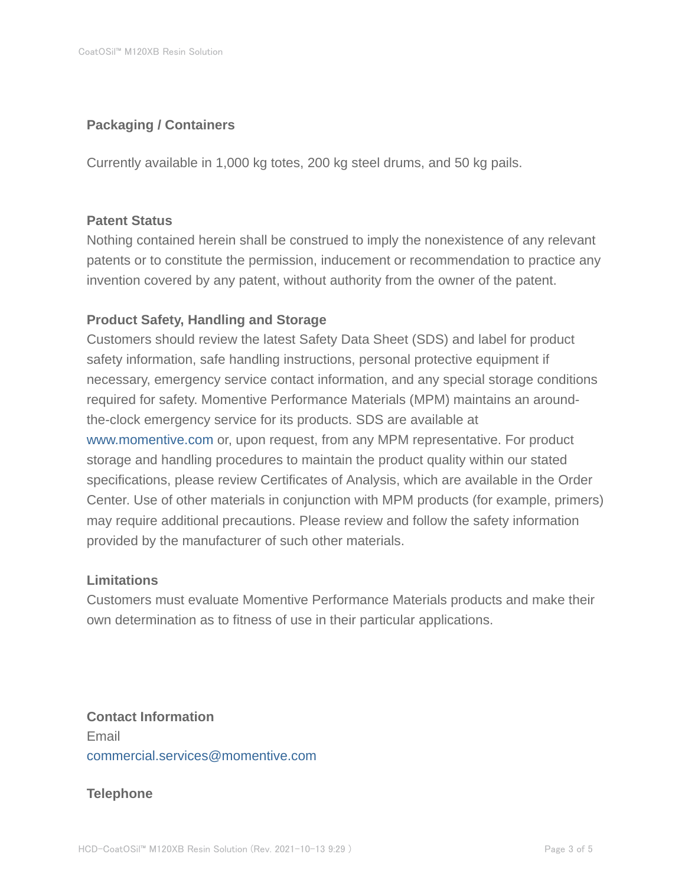# **Packaging / Containers**

Currently available in 1,000 kg totes, 200 kg steel drums, and 50 kg pails.

#### **Patent Status**

Nothing contained herein shall be construed to imply the nonexistence of any relevant patents or to constitute the permission, inducement or recommendation to practice any invention covered by any patent, without authority from the owner of the patent.

# **Product Safety, Handling and Storage**

Customers should review the latest Safety Data Sheet (SDS) and label for product safety information, safe handling instructions, personal protective equipment if necessary, emergency service contact information, and any special storage conditions required for safety. Momentive Performance Materials (MPM) maintains an aroundthe-clock emergency service for its products. SDS are available at www.momentive.com or, upon request, from any MPM representative. For product storage and handling procedures to maintain the product quality within our stated specifications, please review Certificates of Analysis, which are available in the Order Center. Use of other materials in conjunction with MPM products (for example, primers) may require additional precautions. Please review and follow the safety information provided by the manufacturer of such other materials.

#### **Limitations**

Customers must evaluate Momentive Performance Materials products and make their own determination as to fitness of use in their particular applications.

**Contact Information** Email commercial.services@momentive.com

#### **Telephone**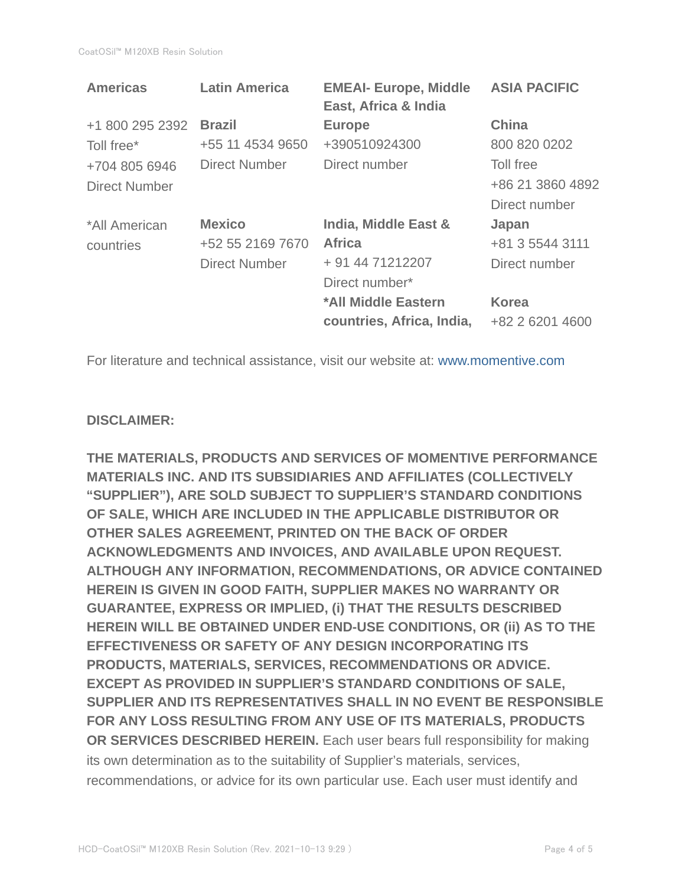| <b>Latin America</b> | <b>EMEAI- Europe, Middle</b><br>East, Africa & India | <b>ASIA PACIFIC</b> |
|----------------------|------------------------------------------------------|---------------------|
| <b>Brazil</b>        | <b>Europe</b>                                        | <b>China</b>        |
| +55 11 4534 9650     | +390510924300                                        | 800 820 0202        |
| Direct Number        | Direct number                                        | Toll free           |
|                      |                                                      | +86 21 3860 4892    |
|                      |                                                      | Direct number       |
| <b>Mexico</b>        | India, Middle East &                                 | Japan               |
| +52 55 2169 7670     | <b>Africa</b>                                        | +81 3 5544 3111     |
| <b>Direct Number</b> | + 91 44 71212207                                     | Direct number       |
|                      | Direct number*                                       |                     |
|                      | *All Middle Eastern                                  | <b>Korea</b>        |
|                      | countries, Africa, India,                            | +82 2 6201 4600     |
|                      |                                                      |                     |

For literature and technical assistance, visit our website at: www.momentive.com

# **DISCLAIMER:**

**THE MATERIALS, PRODUCTS AND SERVICES OF MOMENTIVE PERFORMANCE MATERIALS INC. AND ITS SUBSIDIARIES AND AFFILIATES (COLLECTIVELY "SUPPLIER"), ARE SOLD SUBJECT TO SUPPLIER'S STANDARD CONDITIONS OF SALE, WHICH ARE INCLUDED IN THE APPLICABLE DISTRIBUTOR OR OTHER SALES AGREEMENT, PRINTED ON THE BACK OF ORDER ACKNOWLEDGMENTS AND INVOICES, AND AVAILABLE UPON REQUEST. ALTHOUGH ANY INFORMATION, RECOMMENDATIONS, OR ADVICE CONTAINED HEREIN IS GIVEN IN GOOD FAITH, SUPPLIER MAKES NO WARRANTY OR GUARANTEE, EXPRESS OR IMPLIED, (i) THAT THE RESULTS DESCRIBED HEREIN WILL BE OBTAINED UNDER END-USE CONDITIONS, OR (ii) AS TO THE EFFECTIVENESS OR SAFETY OF ANY DESIGN INCORPORATING ITS PRODUCTS, MATERIALS, SERVICES, RECOMMENDATIONS OR ADVICE. EXCEPT AS PROVIDED IN SUPPLIER'S STANDARD CONDITIONS OF SALE, SUPPLIER AND ITS REPRESENTATIVES SHALL IN NO EVENT BE RESPONSIBLE FOR ANY LOSS RESULTING FROM ANY USE OF ITS MATERIALS, PRODUCTS OR SERVICES DESCRIBED HEREIN.** Each user bears full responsibility for making its own determination as to the suitability of Supplier's materials, services, recommendations, or advice for its own particular use. Each user must identify and